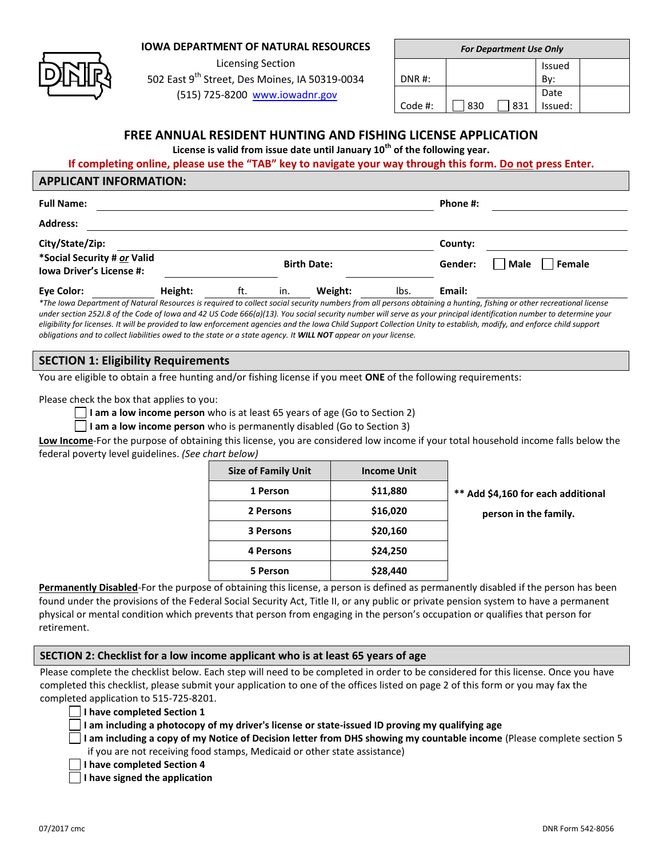## **IOWA DEPARTMENT OF NATURAL RESOURCES**

Licensing Section

502 East 9<sup>th</sup> Street, Des Moines, IA 50319-0034 (515) 725-8200 [www.iowadnr.gov](http://www.iowadnr.gov/)

| <b>For Department Use Only</b> |     |     |                      |  |  |  |
|--------------------------------|-----|-----|----------------------|--|--|--|
|                                |     |     | Issued               |  |  |  |
| DNR #:                         |     |     |                      |  |  |  |
|                                |     |     | Date                 |  |  |  |
| Code #:                        | 830 | 831 | - - - - -<br>Issued: |  |  |  |
|                                |     |     |                      |  |  |  |

# **FREE ANNUAL RESIDENT HUNTING AND FISHING LICENSE APPLICATION**

**License is valid from issue date until January 10th of the following year.**

#### **If completing online, please use the "TAB" key to navigate your way through this form. Do not press Enter.**

#### **APPLICANT INFORMATION:**

| <b>Full Name:</b>                              |                           |                                                                                                                                                                                                                                        |     |                    |                       | Phone #:    |                                                             |
|------------------------------------------------|---------------------------|----------------------------------------------------------------------------------------------------------------------------------------------------------------------------------------------------------------------------------------|-----|--------------------|-----------------------|-------------|-------------------------------------------------------------|
| <b>Address:</b>                                |                           |                                                                                                                                                                                                                                        |     |                    |                       |             |                                                             |
| City/State/Zip:<br>*Social Security # or Valid |                           |                                                                                                                                                                                                                                        |     |                    |                       | County:     |                                                             |
| <b>Iowa Driver's License #:</b>                |                           |                                                                                                                                                                                                                                        |     | <b>Birth Date:</b> |                       | Gender:     | Male<br>Female                                              |
| <b>Eye Color:</b>                              | Height:<br>$\cdot$ $\sim$ | ft.<br>$\sim$ . The second contract of the second contract of the second contract of the second contract of the second contract of the second contract of the second contract of the second contract of the second contract of the sec | in. | Weight:            | lbs.<br>$\cdots$<br>. | Email:<br>. | $\sim$ $\sim$<br>$\sim$ $\sim$ $\sim$<br>$\sim$ $\sim$<br>. |

*\*The Iowa Department of Natural Resources is required to collect social security numbers from all persons obtaining a hunting, fishing or other recreational license under section 252J.8 of the Code of Iowa and 42 US Code 666(a)(13). You social security number will serve as your principal identification number to determine your eligibility for licenses. It will be provided to law enforcement agencies and the Iowa Child Support Collection Unity to establish, modify, and enforce child support obligations and to collect liabilities owed to the state or a state agency. It WILL NOT appear on your license.*

## **SECTION 1: Eligibility Requirements**

You are eligible to obtain a free hunting and/or fishing license if you meet **ONE** of the following requirements:

Please check the box that applies to you:

**I am a low income person** who is at least 65 years of age (Go to Section 2)

**I am a low income person** who is permanently disabled (Go to Section 3)

**Low Income**-For the purpose of obtaining this license, you are considered low income if your total household income falls below the federal poverty level guidelines. *(See chart below)*

| <b>Size of Family Unit</b> | <b>Income Unit</b> |      |
|----------------------------|--------------------|------|
| 1 Person                   | \$11,880           | $**$ |
| 2 Persons                  | \$16,020           |      |
| 3 Persons                  | \$20,160           |      |
| <b>4 Persons</b>           | \$24,250           |      |
| 5 Person                   | \$28,440           |      |

**1 Person \$11,880 \*\* Add \$4,160 for each additional**

**person in the family.** 

**Permanently Disabled**-For the purpose of obtaining this license, a person is defined as permanently disabled if the person has been found under the provisions of the Federal Social Security Act, Title II, or any public or private pension system to have a permanent physical or mental condition which prevents that person from engaging in the person's occupation or qualifies that person for retirement.

#### **SECTION 2: Checklist for a low income applicant who is at least 65 years of age**

Please complete the checklist below. Each step will need to be completed in order to be considered for this license. Once you have completed this checklist, please submit your application to one of the offices listed on page 2 of this form or you may fax the completed application to 515-725-8201.

**I have completed Section 1**

**I am including a photocopy of my driver's license or state-issued ID proving my qualifying age** 

**I am including a copy of my Notice of Decision letter from DHS showing my countable income** (Please complete section 5 if you are not receiving food stamps, Medicaid or other state assistance)

|  |  |  |  |  | I have completed Section 4 |  |
|--|--|--|--|--|----------------------------|--|
|--|--|--|--|--|----------------------------|--|

**I have signed the application**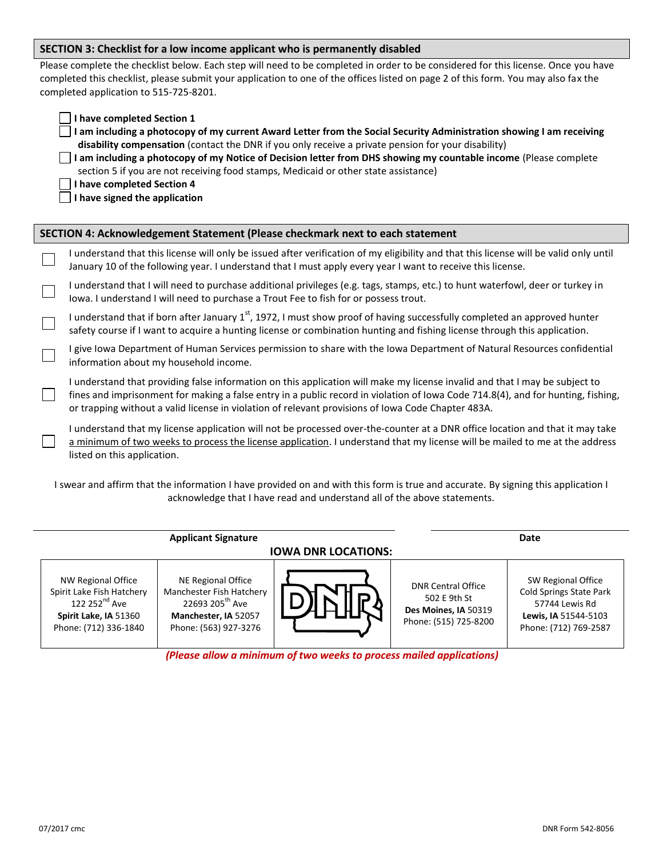#### **SECTION 3: Checklist for a low income applicant who is permanently disabled**

Please complete the checklist below. Each step will need to be completed in order to be considered for this license. Once you have completed this checklist, please submit your application to one of the offices listed on page 2 of this form. You may also fax the completed application to 515-725-8201.

| I have completed Section 1<br>I am including a photocopy of my current Award Letter from the Social Security Administration showing I am receiving<br>disability compensation (contact the DNR if you only receive a private pension for your disability)<br>I am including a photocopy of my Notice of Decision letter from DHS showing my countable income (Please complete<br>section 5 if you are not receiving food stamps, Medicaid or other state assistance)<br>I have completed Section 4<br>I have signed the application |
|-------------------------------------------------------------------------------------------------------------------------------------------------------------------------------------------------------------------------------------------------------------------------------------------------------------------------------------------------------------------------------------------------------------------------------------------------------------------------------------------------------------------------------------|
| SECTION 4: Acknowledgement Statement (Please checkmark next to each statement                                                                                                                                                                                                                                                                                                                                                                                                                                                       |
| I understand that this license will only be issued after verification of my eligibility and that this license will be valid only until<br>January 10 of the following year. I understand that I must apply every year I want to receive this license.                                                                                                                                                                                                                                                                               |
| I understand that I will need to purchase additional privileges (e.g. tags, stamps, etc.) to hunt waterfowl, deer or turkey in<br>lowa. I understand I will need to purchase a Trout Fee to fish for or possess trout.                                                                                                                                                                                                                                                                                                              |
| I understand that if born after January 1 <sup>st</sup> , 1972, I must show proof of having successfully completed an approved hunter<br>safety course if I want to acquire a hunting license or combination hunting and fishing license through this application.                                                                                                                                                                                                                                                                  |
| I give Iowa Department of Human Services permission to share with the Iowa Department of Natural Resources confidential<br>information about my household income.                                                                                                                                                                                                                                                                                                                                                                   |
| I understand that providing false information on this application will make my license invalid and that I may be subject to<br>fines and imprisonment for making a false entry in a public record in violation of Iowa Code 714.8(4), and for hunting, fishing,<br>or trapping without a valid license in violation of relevant provisions of lowa Code Chapter 483A.                                                                                                                                                               |
| I understand that my license application will not be processed over-the-counter at a DNR office location and that it may take<br>a minimum of two weeks to process the license application. I understand that my license will be mailed to me at the address<br>listed on this application.                                                                                                                                                                                                                                         |
| I swear and affirm that the information I have provided on and with this form is true and accurate. By signing this application I<br>acknowledge that I have read and understand all of the above statements.                                                                                                                                                                                                                                                                                                                       |
|                                                                                                                                                                                                                                                                                                                                                                                                                                                                                                                                     |

|                                                                                                                                | <b>Applicant Signature</b>                                                                                                     | Date |                                                                                            |                                                                                                                  |  |  |
|--------------------------------------------------------------------------------------------------------------------------------|--------------------------------------------------------------------------------------------------------------------------------|------|--------------------------------------------------------------------------------------------|------------------------------------------------------------------------------------------------------------------|--|--|
| <b>IOWA DNR LOCATIONS:</b>                                                                                                     |                                                                                                                                |      |                                                                                            |                                                                                                                  |  |  |
| NW Regional Office<br>Spirit Lake Fish Hatchery<br>122 252 <sup>nd</sup> Ave<br>Spirit Lake, IA 51360<br>Phone: (712) 336-1840 | NE Regional Office<br>Manchester Fish Hatchery<br>22693 205 <sup>th</sup> Ave<br>Manchester, IA 52057<br>Phone: (563) 927-3276 |      | <b>DNR Central Office</b><br>502 E 9th St<br>Des Moines, IA 50319<br>Phone: (515) 725-8200 | SW Regional Office<br>Cold Springs State Park<br>57744 Lewis Rd<br>Lewis, IA 51544-5103<br>Phone: (712) 769-2587 |  |  |

*(Please allow a minimum of two weeks to process mailed applications)*